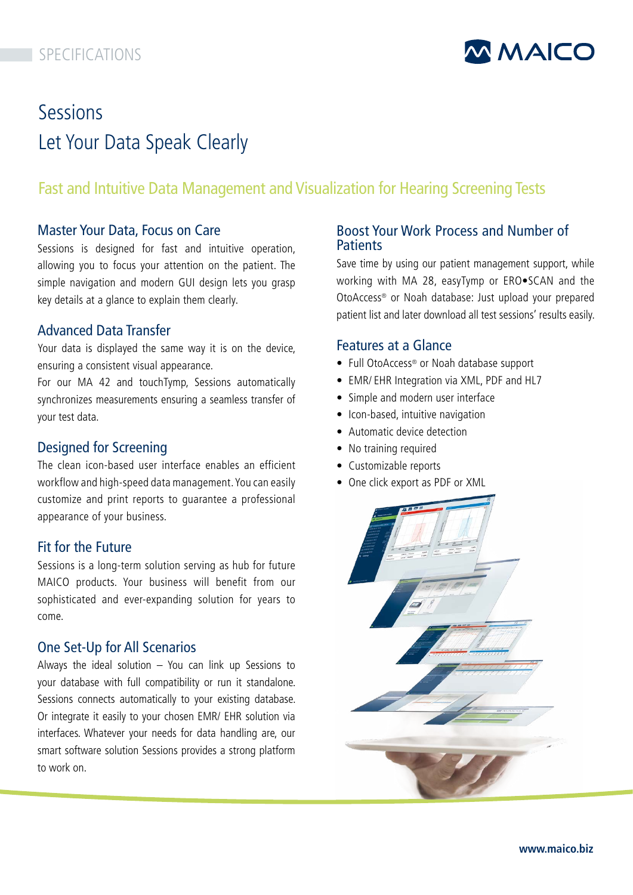# SPECIFICATIONS



# Sessions Let Your Data Speak Clearly

# Fast and Intuitive Data Management and Visualization for Hearing Screening Tests

## Master Your Data, Focus on Care

Sessions is designed for fast and intuitive operation, allowing you to focus your attention on the patient. The simple navigation and modern GUI design lets you grasp key details at a glance to explain them clearly.

# Advanced Data Transfer

Your data is displayed the same way it is on the device, ensuring a consistent visual appearance.

For our MA 42 and touchTymp, Sessions automatically synchronizes measurements ensuring a seamless transfer of your test data.

## Designed for Screening

The clean icon-based user interface enables an efficient workflow and high-speed data management. You can easily customize and print reports to guarantee a professional appearance of your business.

## Fit for the Future

Sessions is a long-term solution serving as hub for future MAICO products. Your business will benefit from our sophisticated and ever-expanding solution for years to come.

## One Set-Up for All Scenarios

Always the ideal solution – You can link up Sessions to your database with full compatibility or run it standalone. Sessions connects automatically to your existing database. Or integrate it easily to your chosen EMR/ EHR solution via interfaces. Whatever your needs for data handling are, our smart software solution Sessions provides a strong platform to work on.

# Boost Your Work Process and Number of **Patients**

Save time by using our patient management support, while working with MA 28, easyTymp or ERO•SCAN and the OtoAccess® or Noah database: Just upload your prepared patient list and later download all test sessions' results easily.

# Features at a Glance

- Full OtoAccess® or Noah database support
- EMR/ EHR Integration via XML, PDF and HL7
- Simple and modern user interface
- Icon-based, intuitive navigation
- Automatic device detection
- No training required
- Customizable reports
- [One click export as PDF or XML](https://www.maico-diagnostics.com/products/software/sessions)